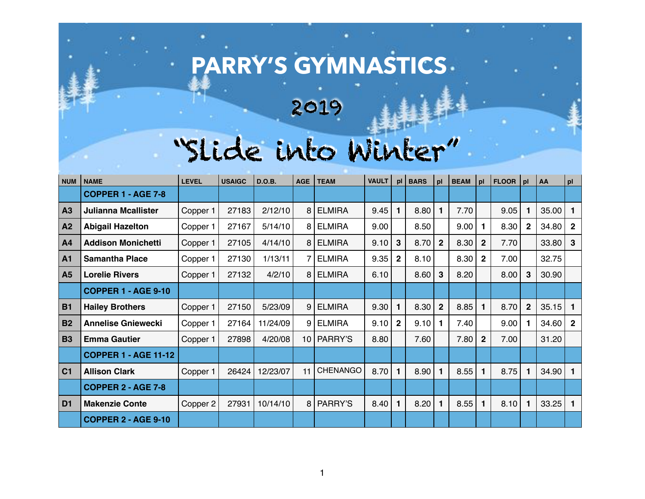## **PARRY'S GYMNASTICS**

2019

## "Slide into Winter"

| NUM            | <b>NAME</b>                 | <b>LEVEL</b> | <b>USAIGC</b> | <b>D.O.B.</b> | <b>AGE</b> | <b>TEAM</b>     | <b>VAULT</b> | bl             | <b>BARS</b> | pl             | <b>BEAM</b> | pl             | FLOOR   pl |              | AA    | pl             |
|----------------|-----------------------------|--------------|---------------|---------------|------------|-----------------|--------------|----------------|-------------|----------------|-------------|----------------|------------|--------------|-------|----------------|
|                | <b>COPPER 1 - AGE 7-8</b>   |              |               |               |            |                 |              |                |             |                |             |                |            |              |       |                |
| A3             | <b>Julianna Mcallister</b>  | Copper 1     | 27183         | 2/12/10       | 8          | <b>ELMIRA</b>   | 9.45         | $\mathbf 1$    | 8.80        | 1              | 7.70        |                | 9.05       | 1            | 35.00 | 1              |
| A2             | <b>Abigail Hazelton</b>     | Copper 1     | 27167         | 5/14/10       | 8          | <b>ELMIRA</b>   | 9.00         |                | 8.50        |                | 9.00        |                | 8.30       | $\mathbf{2}$ | 34.80 | $\mathbf{2}$   |
| A <sub>4</sub> | <b>Addison Monichetti</b>   | Copper 1     | 27105         | 4/14/10       | 8          | <b>ELMIRA</b>   | 9.10         | $\mathbf{3}$   | 8.70        | $\overline{2}$ | 8.30        | 2 <sup>2</sup> | 7.70       |              | 33.80 | $\mathbf{3}$   |
| <b>A1</b>      | <b>Samantha Place</b>       | Copper 1     | 27130         | 1/13/11       |            | <b>ELMIRA</b>   | 9.35         | $\overline{2}$ | 8.10        |                | 8.30        | 2 <sup>2</sup> | 7.00       |              | 32.75 |                |
| <b>A5</b>      | <b>Lorelie Rivers</b>       | Copper 1     | 27132         | 4/2/10        | 8          | <b>ELMIRA</b>   | 6.10         |                | 8.60        | 3              | 8.20        |                | 8.00       | 3            | 30.90 |                |
|                | <b>COPPER 1 - AGE 9-10</b>  |              |               |               |            |                 |              |                |             |                |             |                |            |              |       |                |
| <b>B1</b>      | <b>Hailey Brothers</b>      | Copper 1     | 27150         | 5/23/09       | 9          | <b>ELMIRA</b>   | 9.30         | 1              | 8.30        | $\overline{2}$ | 8.85        |                | 8.70       | $\mathbf 2$  | 35.15 |                |
| <b>B2</b>      | <b>Annelise Gniewecki</b>   | Copper 1     | 27164         | 11/24/09      | 9          | <b>ELMIRA</b>   | 9.10         | $\mathbf{2}$   | 9.10        | 1              | 7.40        |                | 9.00       | 1            | 34.60 | $\overline{2}$ |
| <b>B3</b>      | <b>Emma Gautier</b>         | Copper 1     | 27898         | 4/20/08       | 10         | PARRY'S         | 8.80         |                | 7.60        |                | 7.80        | 2 <sup>2</sup> | 7.00       |              | 31.20 |                |
|                | <b>COPPER 1 - AGE 11-12</b> |              |               |               |            |                 |              |                |             |                |             |                |            |              |       |                |
| C <sub>1</sub> | <b>Allison Clark</b>        | Copper 1     | 26424         | 12/23/07      | 11         | <b>CHENANGO</b> | 8.70         | $\mathbf{1}$   | 8.90        | $\mathbf 1$    | 8.55        | 1              | 8.75       | $\mathbf 1$  | 34.90 |                |
|                | <b>COPPER 2 - AGE 7-8</b>   |              |               |               |            |                 |              |                |             |                |             |                |            |              |       |                |
| D <sub>1</sub> | <b>Makenzie Conte</b>       | Copper 2     | 27931         | 10/14/10      | 8          | PARRY'S         | 8.40         | 1              | 8.20        | 1              | 8.55        | 1              | 8.10       | 1            | 33.25 |                |
|                | <b>COPPER 2 - AGE 9-10</b>  |              |               |               |            |                 |              |                |             |                |             |                |            |              |       |                |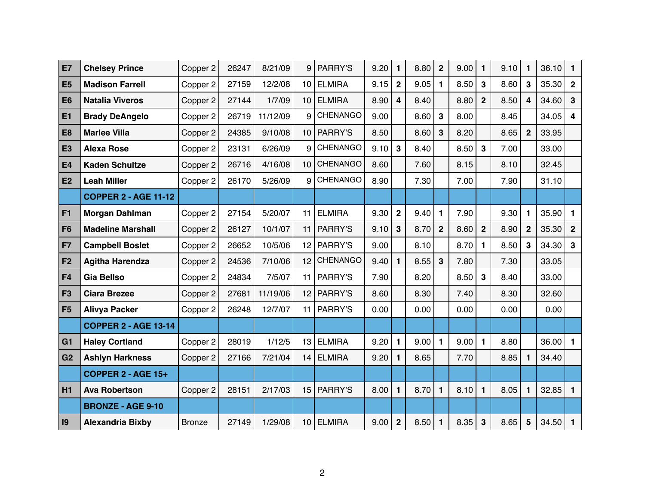| E7             | <b>Chelsey Prince</b>       | Copper 2      | 26247 | 8/21/09  | 9  | PARRY'S         | 9.20 | 1              | 8.80 | $\mathbf{2}$ | 9.00 | 1              | 9.10 | 1            | 36.10 | 1            |
|----------------|-----------------------------|---------------|-------|----------|----|-----------------|------|----------------|------|--------------|------|----------------|------|--------------|-------|--------------|
| E <sub>5</sub> | <b>Madison Farrell</b>      | Copper 2      | 27159 | 12/2/08  | 10 | <b>ELMIRA</b>   | 9.15 | $\mathbf{2}$   | 9.05 | 1            | 8.50 | $\mathbf{3}$   | 8.60 | 3            | 35.30 | $\mathbf{2}$ |
| E <sub>6</sub> | <b>Natalia Viveros</b>      | Copper 2      | 27144 | 1/7/09   | 10 | <b>ELMIRA</b>   | 8.90 | 4              | 8.40 |              | 8.80 | 2 <sup>1</sup> | 8.50 | 4            | 34.60 | 3            |
| E1             | <b>Brady DeAngelo</b>       | Copper 2      | 26719 | 11/12/09 | 9  | <b>CHENANGO</b> | 9.00 |                | 8.60 | 3            | 8.00 |                | 8.45 |              | 34.05 | 4            |
| E <sub>8</sub> | <b>Marlee Villa</b>         | Copper 2      | 24385 | 9/10/08  | 10 | PARRY'S         | 8.50 |                | 8.60 | 3            | 8.20 |                | 8.65 | $\mathbf{2}$ | 33.95 |              |
| <b>E3</b>      | <b>Alexa Rose</b>           | Copper 2      | 23131 | 6/26/09  | 9  | <b>CHENANGO</b> | 9.10 | 3              | 8.40 |              | 8.50 | $\mathbf{3}$   | 7.00 |              | 33.00 |              |
| <b>E4</b>      | <b>Kaden Schultze</b>       | Copper 2      | 26716 | 4/16/08  | 10 | <b>CHENANGO</b> | 8.60 |                | 7.60 |              | 8.15 |                | 8.10 |              | 32.45 |              |
| E2             | <b>Leah Miller</b>          | Copper 2      | 26170 | 5/26/09  | 9  | <b>CHENANGO</b> | 8.90 |                | 7.30 |              | 7.00 |                | 7.90 |              | 31.10 |              |
|                | <b>COPPER 2 - AGE 11-12</b> |               |       |          |    |                 |      |                |      |              |      |                |      |              |       |              |
| F <sub>1</sub> | <b>Morgan Dahlman</b>       | Copper 2      | 27154 | 5/20/07  | 11 | <b>ELMIRA</b>   | 9.30 | $\mathbf 2$    | 9.40 | 1            | 7.90 |                | 9.30 | 1            | 35.90 | 1            |
| F <sub>6</sub> | <b>Madeline Marshall</b>    | Copper 2      | 26127 | 10/1/07  | 11 | PARRY'S         | 9.10 | 3              | 8.70 | $\mathbf{2}$ | 8.60 | $\overline{2}$ | 8.90 | $\mathbf{2}$ | 35.30 | $\mathbf{2}$ |
| F7             | <b>Campbell Boslet</b>      | Copper 2      | 26652 | 10/5/06  | 12 | PARRY'S         | 9.00 |                | 8.10 |              | 8.70 | 1              | 8.50 | 3            | 34.30 | $\mathbf{3}$ |
| F <sub>2</sub> | <b>Agitha Harendza</b>      | Copper 2      | 24536 | 7/10/06  | 12 | <b>CHENANGO</b> | 9.40 | 1              | 8.55 | 3            | 7.80 |                | 7.30 |              | 33.05 |              |
| F <sub>4</sub> | <b>Gia Bellso</b>           | Copper 2      | 24834 | 7/5/07   | 11 | PARRY'S         | 7.90 |                | 8.20 |              | 8.50 | 3              | 8.40 |              | 33.00 |              |
| F <sub>3</sub> | <b>Ciara Brezee</b>         | Copper 2      | 27681 | 11/19/06 | 12 | <b>PARRY'S</b>  | 8.60 |                | 8.30 |              | 7.40 |                | 8.30 |              | 32.60 |              |
| F <sub>5</sub> | <b>Alivya Packer</b>        | Copper 2      | 26248 | 12/7/07  | 11 | PARRY'S         | 0.00 |                | 0.00 |              | 0.00 |                | 0.00 |              | 0.00  |              |
|                | <b>COPPER 2 - AGE 13-14</b> |               |       |          |    |                 |      |                |      |              |      |                |      |              |       |              |
| G <sub>1</sub> | <b>Haley Cortland</b>       | Copper 2      | 28019 | 1/12/5   | 13 | <b>ELMIRA</b>   | 9.20 | 1              | 9.00 | 1            | 9.00 |                | 8.80 |              | 36.00 | $\mathbf{1}$ |
| G <sub>2</sub> | <b>Ashlyn Harkness</b>      | Copper 2      | 27166 | 7/21/04  | 14 | <b>ELMIRA</b>   | 9.20 | $\mathbf 1$    | 8.65 |              | 7.70 |                | 8.85 | 1            | 34.40 |              |
|                | <b>COPPER 2 - AGE 15+</b>   |               |       |          |    |                 |      |                |      |              |      |                |      |              |       |              |
| H1             | <b>Ava Robertson</b>        | Copper 2      | 28151 | 2/17/03  | 15 | PARRY'S         | 8.00 | $\mathbf{1}$   | 8.70 | $\mathbf{1}$ | 8.10 | $\mathbf{1}$   | 8.05 | 1            | 32.85 | $\mathbf{1}$ |
|                | <b>BRONZE - AGE 9-10</b>    |               |       |          |    |                 |      |                |      |              |      |                |      |              |       |              |
| 9              | <b>Alexandria Bixby</b>     | <b>Bronze</b> | 27149 | 1/29/08  | 10 | <b>ELMIRA</b>   | 9.00 | $\overline{2}$ | 8.50 | $\mathbf 1$  | 8.35 | $\mathbf{3}$   | 8.65 | 5            | 34.50 | $\mathbf{1}$ |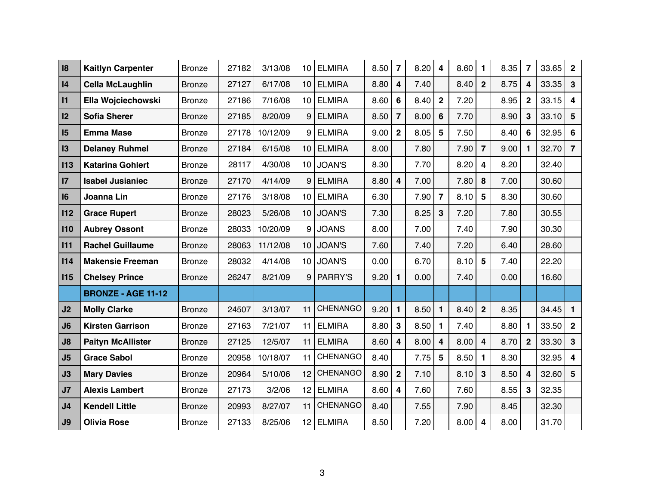| <b>Kaitlyn Carpenter</b>  | <b>Bronze</b> | 27182 | 3/13/08  | 10 | <b>ELMIRA</b>   | 8.50 | $\overline{7}$   | 8.20 | 4              | 8.60                 | 1              | 8.35         | $\overline{7}$   | 33.65 | $\mathbf{2}$            |
|---------------------------|---------------|-------|----------|----|-----------------|------|------------------|------|----------------|----------------------|----------------|--------------|------------------|-------|-------------------------|
| <b>Cella McLaughlin</b>   | <b>Bronze</b> | 27127 | 6/17/08  | 10 | <b>ELMIRA</b>   | 8.80 | 4                | 7.40 |                | 8.40                 | $\overline{2}$ | 8.75         | 4                | 33.35 | 3                       |
| Ella Wojciechowski        | <b>Bronze</b> | 27186 | 7/16/08  | 10 | <b>ELMIRA</b>   | 8.60 | 6                | 8.40 | $\mathbf{2}$   | 7.20                 |                | 8.95         | $\mathbf 2$      | 33.15 | 4                       |
| <b>Sofia Sherer</b>       | <b>Bronze</b> | 27185 | 8/20/09  | 9  | <b>ELMIRA</b>   | 8.50 | $\overline{7}$   | 8.00 | 6              | 7.70                 |                | 8.90         | 3                | 33.10 | $5\phantom{1}$          |
| <b>Emma Mase</b>          | <b>Bronze</b> | 27178 | 10/12/09 | 9  | <b>ELMIRA</b>   | 9.00 | $\boldsymbol{2}$ | 8.05 | 5              | 7.50                 |                | 8.40         | 6                | 32.95 | 6                       |
| <b>Delaney Ruhmel</b>     | <b>Bronze</b> | 27184 | 6/15/08  | 10 | <b>ELMIRA</b>   | 8.00 |                  | 7.80 |                | 7.90                 | $\overline{7}$ | 9.00         | 1                | 32.70 | $\overline{7}$          |
| <b>Katarina Gohlert</b>   | <b>Bronze</b> | 28117 | 4/30/08  | 10 | <b>JOAN'S</b>   | 8.30 |                  | 7.70 |                | 8.20                 | 4              | 8.20         |                  | 32.40 |                         |
| <b>Isabel Jusianiec</b>   | <b>Bronze</b> | 27170 | 4/14/09  | 9  | <b>ELMIRA</b>   | 8.80 | 4                | 7.00 |                | 7.80                 | 8              | 7.00         |                  | 30.60 |                         |
| Joanna Lin                | <b>Bronze</b> | 27176 | 3/18/08  | 10 | <b>ELMIRA</b>   | 6.30 |                  | 7.90 | $\overline{7}$ | 8.10                 | $5\phantom{1}$ | 8.30         |                  | 30.60 |                         |
| <b>Grace Rupert</b>       | <b>Bronze</b> | 28023 | 5/26/08  | 10 | <b>JOAN'S</b>   | 7.30 |                  |      | $\mathbf{3}$   | 7.20                 |                | 7.80         |                  | 30.55 |                         |
| <b>Aubrey Ossont</b>      | <b>Bronze</b> | 28033 | 10/20/09 | 9  | <b>JOANS</b>    | 8.00 |                  | 7.00 |                | 7.40                 |                | 7.90         |                  | 30.30 |                         |
| <b>Rachel Guillaume</b>   | <b>Bronze</b> | 28063 | 11/12/08 | 10 | <b>JOAN'S</b>   | 7.60 |                  | 7.40 |                | 7.20                 |                | 6.40         |                  | 28.60 |                         |
| <b>Makensie Freeman</b>   | <b>Bronze</b> | 28032 | 4/14/08  | 10 | <b>JOAN'S</b>   | 0.00 |                  | 6.70 |                | 8.10                 | 5              | 7.40         |                  | 22.20 |                         |
| <b>Chelsey Prince</b>     | <b>Bronze</b> | 26247 | 8/21/09  | 9  | PARRY'S         | 9.20 | 1.               | 0.00 |                | 7.40                 |                | 0.00         |                  | 16.60 |                         |
| <b>BRONZE - AGE 11-12</b> |               |       |          |    |                 |      |                  |      |                |                      |                |              |                  |       |                         |
| <b>Molly Clarke</b>       | <b>Bronze</b> | 24507 | 3/13/07  | 11 | <b>CHENANGO</b> | 9.20 | 1                | 8.50 | 1              | 8.40                 | $\overline{2}$ | 8.35         |                  | 34.45 |                         |
| <b>Kirsten Garrison</b>   | <b>Bronze</b> | 27163 | 7/21/07  | 11 | <b>ELMIRA</b>   | 8.80 | 3                | 8.50 | 1              | 7.40                 |                | 8.80         | 1                | 33.50 | $\mathbf{2}$            |
| <b>Paityn McAllister</b>  | <b>Bronze</b> | 27125 | 12/5/07  | 11 | <b>ELMIRA</b>   | 8.60 | 4                |      | 4              | 8.00                 | 4              | 8.70         | $\boldsymbol{2}$ |       | $\mathbf{3}$            |
| <b>Grace Sabol</b>        | <b>Bronze</b> | 20958 | 10/18/07 | 11 | <b>CHENANGO</b> | 8.40 |                  |      | 5              | 8.50                 | 1              | 8.30         |                  | 32.95 | $\overline{4}$          |
| <b>Mary Davies</b>        | <b>Bronze</b> | 20964 | 5/10/06  | 12 | <b>CHENANGO</b> | 8.90 | $\overline{2}$   | 7.10 |                |                      | $3\phantom{a}$ | 8.50         | 4                |       | $5\phantom{1}$          |
| <b>Alexis Lambert</b>     | <b>Bronze</b> | 27173 | 3/2/06   | 12 | <b>ELMIRA</b>   | 8.60 | 4                | 7.60 |                | 7.60                 |                | 8.55         | 3                | 32.35 |                         |
| <b>Kendell Little</b>     | <b>Bronze</b> | 20993 | 8/27/07  | 11 | CHENANGO        | 8.40 |                  | 7.55 |                | 7.90                 |                | 8.45         |                  | 32.30 |                         |
| <b>Olivia Rose</b>        | <b>Bronze</b> | 27133 | 8/25/06  |    | <b>ELMIRA</b>   | 8.50 |                  | 7.20 |                |                      | 4              | 8.00         |                  |       |                         |
|                           |               |       |          |    |                 | 12   |                  |      |                | 8.25<br>8.00<br>7.75 |                | 8.10<br>8.00 |                  |       | 33.30<br>32.60<br>31.70 |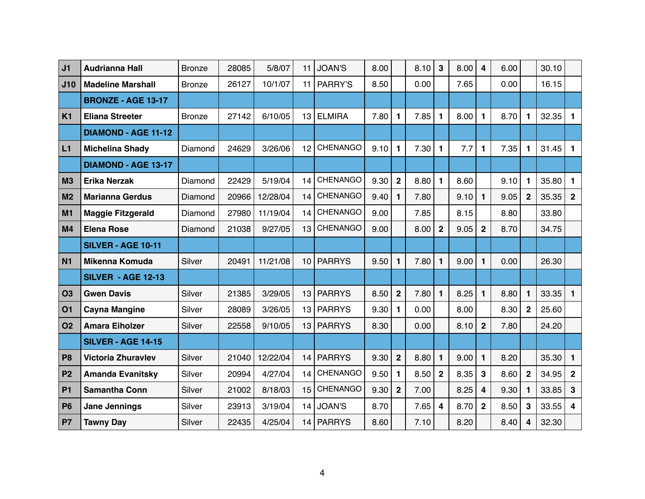| J <sub>1</sub> | <b>Audrianna Hall</b>      | <b>Bronze</b> | 28085 | 5/8/07   | 11 | <b>JOAN'S</b>   | 8.00 |                  | 8.10       | 3              | 8.00 | 4              | 6.00 |                  | 30.10 |                |
|----------------|----------------------------|---------------|-------|----------|----|-----------------|------|------------------|------------|----------------|------|----------------|------|------------------|-------|----------------|
| J10            | <b>Madeline Marshall</b>   | <b>Bronze</b> | 26127 | 10/1/07  | 11 | <b>PARRY'S</b>  | 8.50 |                  | 0.00       |                | 7.65 |                | 0.00 |                  | 16.15 |                |
|                | <b>BRONZE - AGE 13-17</b>  |               |       |          |    |                 |      |                  |            |                |      |                |      |                  |       |                |
| K <sub>1</sub> | <b>Eliana Streeter</b>     | <b>Bronze</b> | 27142 | 6/10/05  | 13 | <b>ELMIRA</b>   | 7.80 | $\mathbf{1}$     | 7.85       | $\mathbf{1}$   | 8.00 | $\mathbf 1$    | 8.70 | $\mathbf 1$      | 32.35 | 1              |
|                | <b>DIAMOND - AGE 11-12</b> |               |       |          |    |                 |      |                  |            |                |      |                |      |                  |       |                |
| L1             | <b>Michelina Shady</b>     | Diamond       | 24629 | 3/26/06  | 12 | <b>CHENANGO</b> | 9.10 | 1                | 7.30       | $\mathbf 1$    | 7.7  | 1              | 7.35 | 1.               | 31.45 | -1             |
|                | <b>DIAMOND - AGE 13-17</b> |               |       |          |    |                 |      |                  |            |                |      |                |      |                  |       |                |
| <b>M3</b>      | <b>Erika Nerzak</b>        | Diamond       | 22429 | 5/19/04  | 14 | <b>CHENANGO</b> | 9.30 | $\overline{2}$   | 8.80       | $\mathbf 1$    | 8.60 |                | 9.10 | 1                | 35.80 | 1              |
| M <sub>2</sub> | <b>Marianna Gerdus</b>     | Diamond       | 20966 | 12/28/04 | 14 | <b>CHENANGO</b> | 9.40 | 1                | 7.80       |                | 9.10 | 1              | 9.05 | $\mathbf{2}$     | 35.35 | $\overline{2}$ |
| M <sub>1</sub> | <b>Maggie Fitzgerald</b>   | Diamond       | 27980 | 11/19/04 | 14 | <b>CHENANGO</b> | 9.00 |                  | 7.85       |                | 8.15 |                | 8.80 |                  | 33.80 |                |
| M <sub>4</sub> | <b>Elena Rose</b>          | Diamond       | 21038 | 9/27/05  | 13 | <b>CHENANGO</b> | 9.00 |                  | 8.00       | $\overline{2}$ | 9.05 | 2 <sup>2</sup> | 8.70 |                  | 34.75 |                |
|                | <b>SILVER - AGE 10-11</b>  |               |       |          |    |                 |      |                  |            |                |      |                |      |                  |       |                |
| <b>N1</b>      | <b>Mikenna Komuda</b>      | <b>Silver</b> | 20491 | 11/21/08 | 10 | <b>PARRYS</b>   | 9.50 | 1                | 7.80       | 1              | 9.00 | 1              | 0.00 |                  | 26.30 |                |
|                | <b>SILVER - AGE 12-13</b>  |               |       |          |    |                 |      |                  |            |                |      |                |      |                  |       |                |
| <b>O3</b>      | <b>Gwen Davis</b>          | <b>Silver</b> | 21385 | 3/29/05  | 13 | <b>PARRYS</b>   | 8.50 | $\overline{2}$   | 7.80       | $\mathbf{1}$   | 8.25 | 1              | 8.80 | 1                | 33.35 | п              |
| 01             | <b>Cayna Mangine</b>       | Silver        | 28089 | 3/26/05  | 13 | <b>PARRYS</b>   | 9.30 | 1                | 0.00       |                | 8.00 |                | 8.30 | $\boldsymbol{2}$ | 25.60 |                |
| <b>O2</b>      | <b>Amara Eiholzer</b>      | <b>Silver</b> | 22558 | 9/10/05  | 13 | <b>PARRYS</b>   | 8.30 |                  | 0.00       |                | 8.10 | $\mathbf{2}$   | 7.80 |                  | 24.20 |                |
|                | <b>SILVER - AGE 14-15</b>  |               |       |          |    |                 |      |                  |            |                |      |                |      |                  |       |                |
| P <sub>8</sub> | <b>Victoria Zhuravlev</b>  | <b>Silver</b> | 21040 | 12/22/04 | 14 | <b>PARRYS</b>   | 9.30 | $\boldsymbol{2}$ | 8.80       | $\mathbf{1}$   | 9.00 | $\mathbf 1$    | 8.20 |                  | 35.30 | $\mathbf 1$    |
| P <sub>2</sub> | <b>Amanda Evanitsky</b>    | Silver        | 20994 | 4/27/04  | 14 | <b>CHENANGO</b> | 9.50 | 1                | 8.50       | $\overline{2}$ | 8.35 | $3\phantom{a}$ | 8.60 | $\mathbf{2}$     | 34.95 | $\overline{2}$ |
| <b>P1</b>      | <b>Samantha Conn</b>       | <b>Silver</b> | 21002 | 8/18/03  | 15 | <b>CHENANGO</b> | 9.30 | $\overline{2}$   | 7.00       |                | 8.25 | 4              | 9.30 | 1.               | 33.85 | $\mathbf{3}$   |
| <b>P6</b>      | <b>Jane Jennings</b>       | Silver        | 23913 | 3/19/04  | 14 | JOAN'S          | 8.70 |                  | $7.65$   4 |                | 8.70 | $\overline{2}$ | 8.50 | 3                | 33.55 | 4              |
| P <sub>7</sub> | <b>Tawny Day</b>           | <b>Silver</b> | 22435 | 4/25/04  |    | 14   PARRYS     | 8.60 |                  | 7.10       |                | 8.20 |                | 8.40 | 4                | 32.30 |                |